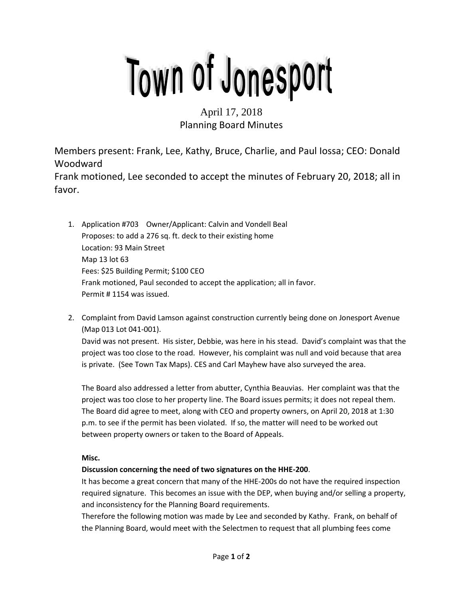# Town of Jonesport

# April 17, 2018 Planning Board Minutes

Members present: Frank, Lee, Kathy, Bruce, Charlie, and Paul Iossa; CEO: Donald Woodward

Frank motioned, Lee seconded to accept the minutes of February 20, 2018; all in favor.

- 1. Application #703 Owner/Applicant: Calvin and Vondell Beal Proposes: to add a 276 sq. ft. deck to their existing home Location: 93 Main Street Map 13 lot 63 Fees: \$25 Building Permit; \$100 CEO Frank motioned, Paul seconded to accept the application; all in favor. Permit # 1154 was issued.
- 2. Complaint from David Lamson against construction currently being done on Jonesport Avenue (Map 013 Lot 041-001).

David was not present. His sister, Debbie, was here in his stead. David's complaint was that the project was too close to the road. However, his complaint was null and void because that area is private. (See Town Tax Maps). CES and Carl Mayhew have also surveyed the area.

The Board also addressed a letter from abutter, Cynthia Beauvias. Her complaint was that the project was too close to her property line. The Board issues permits; it does not repeal them. The Board did agree to meet, along with CEO and property owners, on April 20, 2018 at 1:30 p.m. to see if the permit has been violated. If so, the matter will need to be worked out between property owners or taken to the Board of Appeals.

### **Misc.**

## **Discussion concerning the need of two signatures on the HHE-200**.

It has become a great concern that many of the HHE-200s do not have the required inspection required signature. This becomes an issue with the DEP, when buying and/or selling a property, and inconsistency for the Planning Board requirements.

Therefore the following motion was made by Lee and seconded by Kathy. Frank, on behalf of the Planning Board, would meet with the Selectmen to request that all plumbing fees come